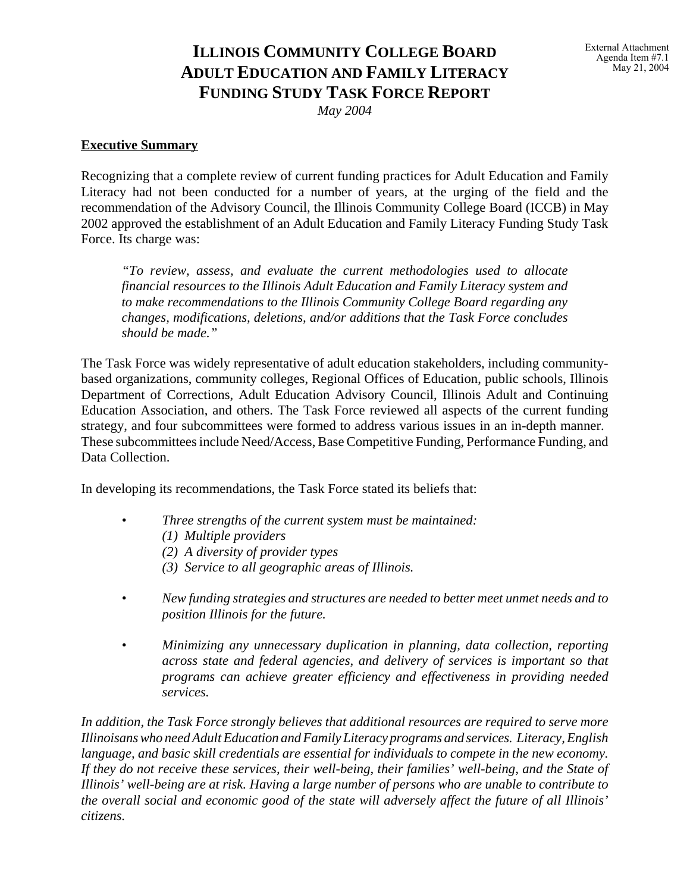# **ILLINOIS COMMUNITY COLLEGE BOARD ADULT EDUCATION AND FAMILY LITERACY FUNDING STUDY TASK FORCE REPORT**

*May 2004*

# **Executive Summary**

Recognizing that a complete review of current funding practices for Adult Education and Family Literacy had not been conducted for a number of years, at the urging of the field and the recommendation of the Advisory Council, the Illinois Community College Board (ICCB) in May 2002 approved the establishment of an Adult Education and Family Literacy Funding Study Task Force. Its charge was:

*"To review, assess, and evaluate the current methodologies used to allocate financial resources to the Illinois Adult Education and Family Literacy system and to make recommendations to the Illinois Community College Board regarding any changes, modifications, deletions, and/or additions that the Task Force concludes should be made."*

The Task Force was widely representative of adult education stakeholders, including communitybased organizations, community colleges, Regional Offices of Education, public schools, Illinois Department of Corrections, Adult Education Advisory Council, Illinois Adult and Continuing Education Association, and others. The Task Force reviewed all aspects of the current funding strategy, and four subcommittees were formed to address various issues in an in-depth manner. These subcommittees include Need/Access, Base Competitive Funding, Performance Funding, and Data Collection.

In developing its recommendations, the Task Force stated its beliefs that:

- *Three strengths of the current system must be maintained:* 
	- *(1) Multiple providers*
	- *(2) A diversity of provider types*
	- *(3) Service to all geographic areas of Illinois.*
- *New funding strategies and structures are needed to better meet unmet needs and to position Illinois for the future.*
- *Minimizing any unnecessary duplication in planning, data collection, reporting across state and federal agencies, and delivery of services is important so that programs can achieve greater efficiency and effectiveness in providing needed services.*

*In addition, the Task Force strongly believes that additional resources are required to serve more Illinoisans who need Adult Education and Family Literacy programs and services. Literacy, English language, and basic skill credentials are essential for individuals to compete in the new economy. If they do not receive these services, their well-being, their families' well-being, and the State of Illinois' well-being are at risk. Having a large number of persons who are unable to contribute to the overall social and economic good of the state will adversely affect the future of all Illinois' citizens.*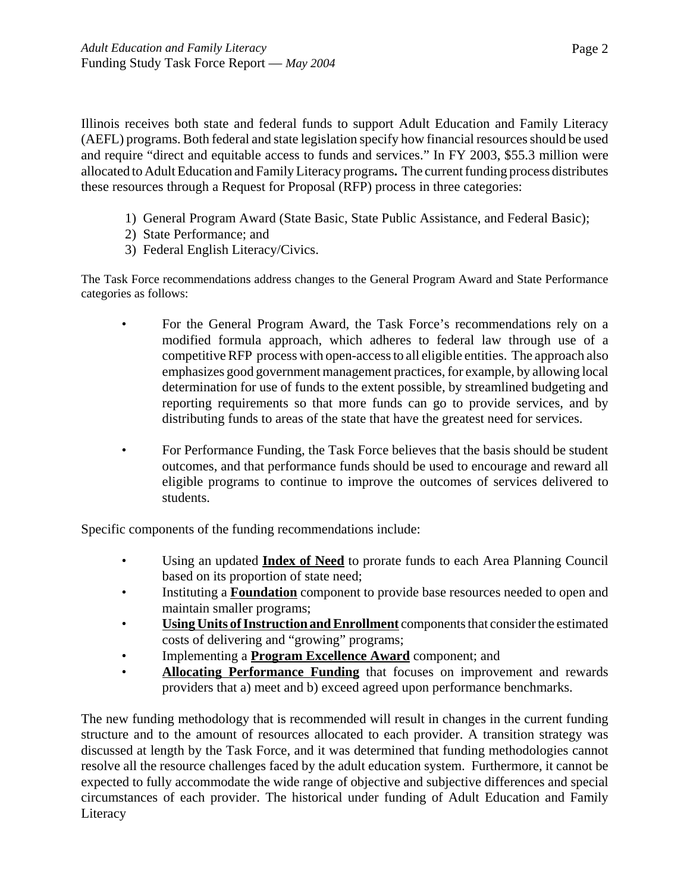Illinois receives both state and federal funds to support Adult Education and Family Literacy (AEFL) programs. Both federal and state legislation specify how financial resources should be used and require "direct and equitable access to funds and services." In FY 2003, \$55.3 million were allocated to Adult Education and Family Literacy programs**.** The current funding process distributes these resources through a Request for Proposal (RFP) process in three categories:

- 1) General Program Award (State Basic, State Public Assistance, and Federal Basic);
- 2) State Performance; and
- 3) Federal English Literacy/Civics.

The Task Force recommendations address changes to the General Program Award and State Performance categories as follows:

- For the General Program Award, the Task Force's recommendations rely on a modified formula approach, which adheres to federal law through use of a competitive RFP process with open-access to all eligible entities. The approach also emphasizes good government management practices, for example, by allowing local determination for use of funds to the extent possible, by streamlined budgeting and reporting requirements so that more funds can go to provide services, and by distributing funds to areas of the state that have the greatest need for services.
- For Performance Funding, the Task Force believes that the basis should be student outcomes, and that performance funds should be used to encourage and reward all eligible programs to continue to improve the outcomes of services delivered to students.

Specific components of the funding recommendations include:

- Using an updated **Index of Need** to prorate funds to each Area Planning Council based on its proportion of state need;
- Instituting a **Foundation** component to provide base resources needed to open and maintain smaller programs;
- **Using Units of Instruction and Enrollment** components that consider the estimated costs of delivering and "growing" programs;
- Implementing a **Program Excellence Award** component; and
- **Allocating Performance Funding** that focuses on improvement and rewards providers that a) meet and b) exceed agreed upon performance benchmarks.

The new funding methodology that is recommended will result in changes in the current funding structure and to the amount of resources allocated to each provider. A transition strategy was discussed at length by the Task Force, and it was determined that funding methodologies cannot resolve all the resource challenges faced by the adult education system. Furthermore, it cannot be expected to fully accommodate the wide range of objective and subjective differences and special circumstances of each provider. The historical under funding of Adult Education and Family Literacy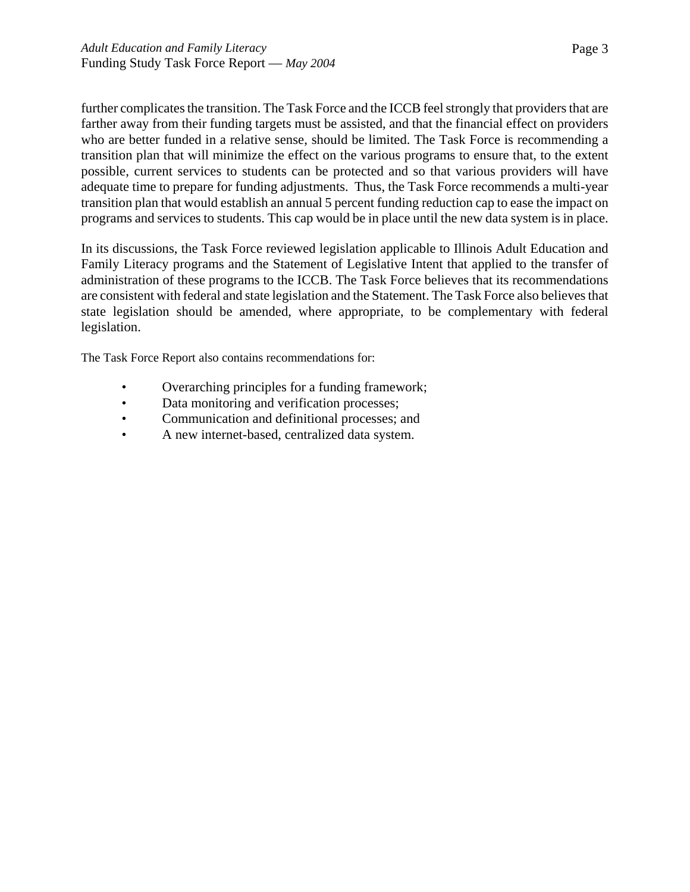further complicates the transition. The Task Force and the ICCB feel strongly that providers that are farther away from their funding targets must be assisted, and that the financial effect on providers who are better funded in a relative sense, should be limited. The Task Force is recommending a transition plan that will minimize the effect on the various programs to ensure that, to the extent possible, current services to students can be protected and so that various providers will have adequate time to prepare for funding adjustments. Thus, the Task Force recommends a multi-year transition plan that would establish an annual 5 percent funding reduction cap to ease the impact on programs and services to students. This cap would be in place until the new data system is in place.

In its discussions, the Task Force reviewed legislation applicable to Illinois Adult Education and Family Literacy programs and the Statement of Legislative Intent that applied to the transfer of administration of these programs to the ICCB. The Task Force believes that its recommendations are consistent with federal and state legislation and the Statement. The Task Force also believes that state legislation should be amended, where appropriate, to be complementary with federal legislation.

The Task Force Report also contains recommendations for:

- Overarching principles for a funding framework;
- Data monitoring and verification processes;
- Communication and definitional processes; and
- A new internet-based, centralized data system.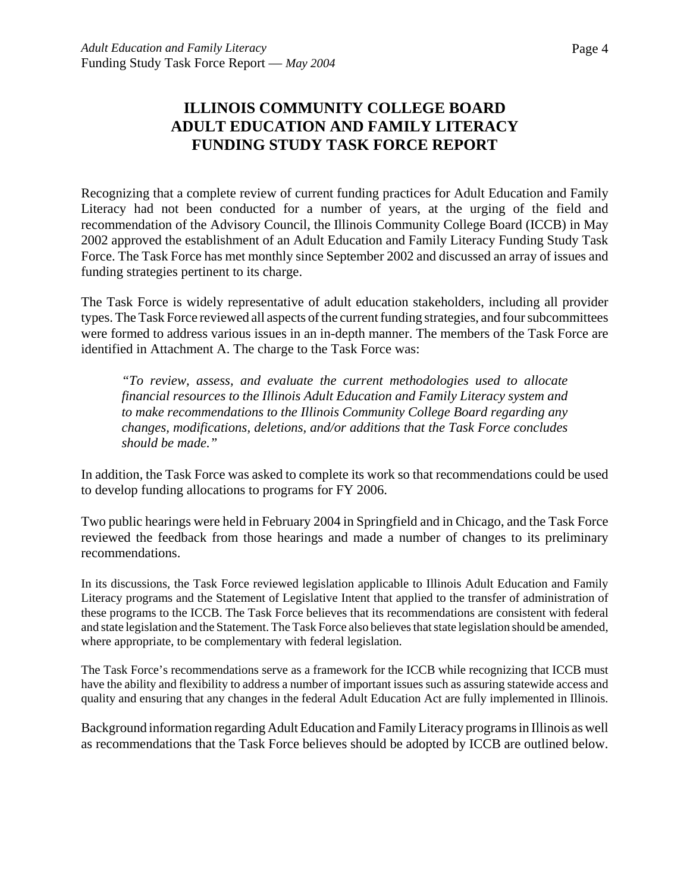# **ILLINOIS COMMUNITY COLLEGE BOARD ADULT EDUCATION AND FAMILY LITERACY FUNDING STUDY TASK FORCE REPORT**

Recognizing that a complete review of current funding practices for Adult Education and Family Literacy had not been conducted for a number of years, at the urging of the field and recommendation of the Advisory Council, the Illinois Community College Board (ICCB) in May 2002 approved the establishment of an Adult Education and Family Literacy Funding Study Task Force. The Task Force has met monthly since September 2002 and discussed an array of issues and funding strategies pertinent to its charge.

The Task Force is widely representative of adult education stakeholders, including all provider types. The Task Force reviewed all aspects of the current funding strategies, and four subcommittees were formed to address various issues in an in-depth manner. The members of the Task Force are identified in Attachment A. The charge to the Task Force was:

*"To review, assess, and evaluate the current methodologies used to allocate financial resources to the Illinois Adult Education and Family Literacy system and to make recommendations to the Illinois Community College Board regarding any changes, modifications, deletions, and/or additions that the Task Force concludes should be made."*

In addition, the Task Force was asked to complete its work so that recommendations could be used to develop funding allocations to programs for FY 2006.

Two public hearings were held in February 2004 in Springfield and in Chicago, and the Task Force reviewed the feedback from those hearings and made a number of changes to its preliminary recommendations.

In its discussions, the Task Force reviewed legislation applicable to Illinois Adult Education and Family Literacy programs and the Statement of Legislative Intent that applied to the transfer of administration of these programs to the ICCB. The Task Force believes that its recommendations are consistent with federal and state legislation and the Statement. The Task Force also believes that state legislation should be amended, where appropriate, to be complementary with federal legislation.

The Task Force's recommendations serve as a framework for the ICCB while recognizing that ICCB must have the ability and flexibility to address a number of important issues such as assuring statewide access and quality and ensuring that any changes in the federal Adult Education Act are fully implemented in Illinois.

Background information regarding Adult Education and Family Literacy programs in Illinois as well as recommendations that the Task Force believes should be adopted by ICCB are outlined below.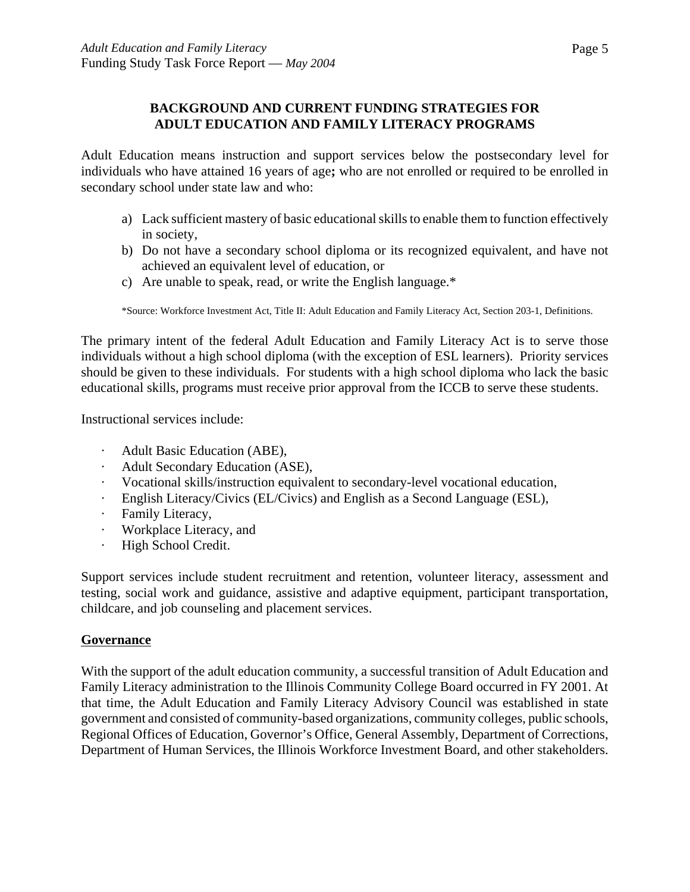# **BACKGROUND AND CURRENT FUNDING STRATEGIES FOR ADULT EDUCATION AND FAMILY LITERACY PROGRAMS**

Adult Education means instruction and support services below the postsecondary level for individuals who have attained 16 years of age**;** who are not enrolled or required to be enrolled in secondary school under state law and who:

- a) Lack sufficient mastery of basic educational skills to enable them to function effectively in society,
- b) Do not have a secondary school diploma or its recognized equivalent, and have not achieved an equivalent level of education, or
- c) Are unable to speak, read, or write the English language.\*

\*Source: Workforce Investment Act, Title II: Adult Education and Family Literacy Act, Section 203-1, Definitions.

The primary intent of the federal Adult Education and Family Literacy Act is to serve those individuals without a high school diploma (with the exception of ESL learners). Priority services should be given to these individuals. For students with a high school diploma who lack the basic educational skills, programs must receive prior approval from the ICCB to serve these students.

Instructional services include:

- Adult Basic Education (ABE),
- Adult Secondary Education (ASE),
- · Vocational skills/instruction equivalent to secondary-level vocational education,
- · English Literacy/Civics (EL/Civics) and English as a Second Language (ESL),
- · Family Literacy,
- · Workplace Literacy, and
- · High School Credit.

Support services include student recruitment and retention, volunteer literacy, assessment and testing, social work and guidance, assistive and adaptive equipment, participant transportation, childcare, and job counseling and placement services.

# **Governance**

With the support of the adult education community, a successful transition of Adult Education and Family Literacy administration to the Illinois Community College Board occurred in FY 2001. At that time, the Adult Education and Family Literacy Advisory Council was established in state government and consisted of community-based organizations, community colleges, public schools, Regional Offices of Education, Governor's Office, General Assembly, Department of Corrections, Department of Human Services, the Illinois Workforce Investment Board, and other stakeholders.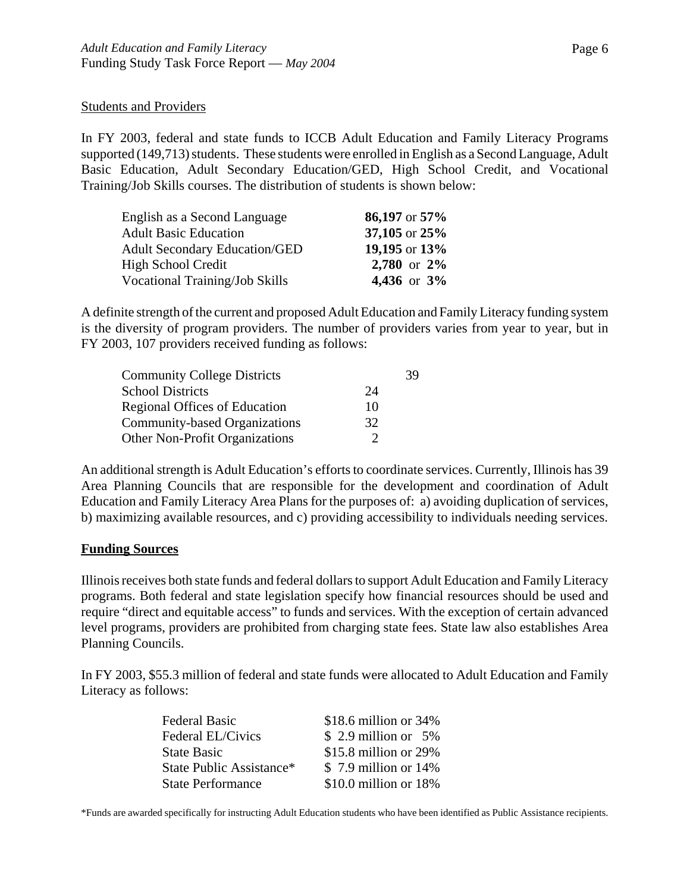#### Students and Providers

In FY 2003, federal and state funds to ICCB Adult Education and Family Literacy Programs supported (149,713) students. These students were enrolled in English as a Second Language, Adult Basic Education, Adult Secondary Education/GED, High School Credit, and Vocational Training/Job Skills courses. The distribution of students is shown below:

| English as a Second Language          | 86,197 or 57%  |
|---------------------------------------|----------------|
| <b>Adult Basic Education</b>          | 37,105 or 25%  |
| <b>Adult Secondary Education/GED</b>  | 19,195 or 13%  |
| High School Credit                    | 2,780 or 2%    |
| <b>Vocational Training/Job Skills</b> | 4,436 or $3\%$ |

A definite strength of the current and proposed Adult Education and Family Literacy funding system is the diversity of program providers. The number of providers varies from year to year, but in FY 2003, 107 providers received funding as follows:

| <b>Community College Districts</b>    |    | 39 |
|---------------------------------------|----|----|
| <b>School Districts</b>               | 24 |    |
| <b>Regional Offices of Education</b>  | 10 |    |
| <b>Community-based Organizations</b>  | 32 |    |
| <b>Other Non-Profit Organizations</b> |    |    |

An additional strength is Adult Education's efforts to coordinate services. Currently, Illinois has 39 Area Planning Councils that are responsible for the development and coordination of Adult Education and Family Literacy Area Plans for the purposes of: a) avoiding duplication of services, b) maximizing available resources, and c) providing accessibility to individuals needing services.

#### **Funding Sources**

Illinois receives both state funds and federal dollars to support Adult Education and Family Literacy programs. Both federal and state legislation specify how financial resources should be used and require "direct and equitable access" to funds and services. With the exception of certain advanced level programs, providers are prohibited from charging state fees. State law also establishes Area Planning Councils.

In FY 2003, \$55.3 million of federal and state funds were allocated to Adult Education and Family Literacy as follows:

| <b>Federal Basic</b>     | \$18.6 million or 34%     |
|--------------------------|---------------------------|
| Federal EL/Civics        | $$2.9$ million or $5\%$   |
| <b>State Basic</b>       | \$15.8 million or 29%     |
| State Public Assistance* | \$7.9 million or 14%      |
| <b>State Performance</b> | $$10.0$ million or $18\%$ |

\*Funds are awarded specifically for instructing Adult Education students who have been identified as Public Assistance recipients.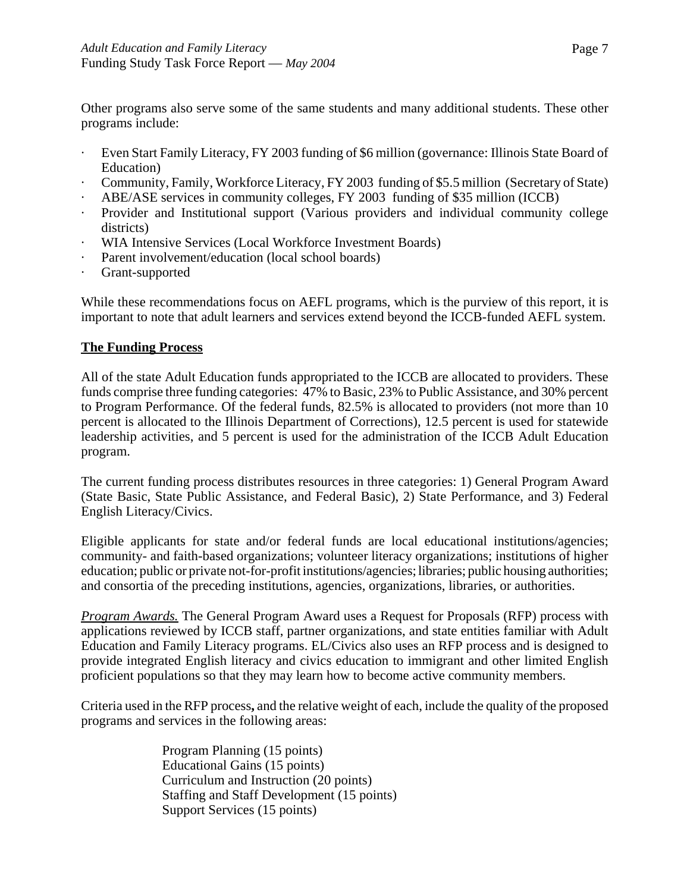Other programs also serve some of the same students and many additional students. These other programs include:

- Even Start Family Literacy, FY 2003 funding of \$6 million (governance: Illinois State Board of Education)
- Community, Family, Workforce Literacy, FY 2003 funding of \$5.5 million (Secretary of State)
- ABE/ASE services in community colleges, FY 2003 funding of \$35 million (ICCB)
- Provider and Institutional support (Various providers and individual community college districts)
- WIA Intensive Services (Local Workforce Investment Boards)
- Parent involvement/education (local school boards)
- Grant-supported

While these recommendations focus on AEFL programs, which is the purview of this report, it is important to note that adult learners and services extend beyond the ICCB-funded AEFL system.

# **The Funding Process**

All of the state Adult Education funds appropriated to the ICCB are allocated to providers. These funds comprise three funding categories: 47% to Basic, 23% to Public Assistance, and 30% percent to Program Performance. Of the federal funds, 82.5% is allocated to providers (not more than 10 percent is allocated to the Illinois Department of Corrections), 12.5 percent is used for statewide leadership activities, and 5 percent is used for the administration of the ICCB Adult Education program.

The current funding process distributes resources in three categories: 1) General Program Award (State Basic, State Public Assistance, and Federal Basic), 2) State Performance, and 3) Federal English Literacy/Civics.

Eligible applicants for state and/or federal funds are local educational institutions/agencies; community- and faith-based organizations; volunteer literacy organizations; institutions of higher education; public or private not-for-profit institutions/agencies; libraries; public housing authorities; and consortia of the preceding institutions, agencies, organizations, libraries, or authorities.

*Program Awards.* The General Program Award uses a Request for Proposals (RFP) process with applications reviewed by ICCB staff, partner organizations, and state entities familiar with Adult Education and Family Literacy programs. EL/Civics also uses an RFP process and is designed to provide integrated English literacy and civics education to immigrant and other limited English proficient populations so that they may learn how to become active community members.

Criteria used in the RFP process**,** and the relative weight of each, include the quality of the proposed programs and services in the following areas:

> Program Planning (15 points) Educational Gains (15 points) Curriculum and Instruction (20 points) Staffing and Staff Development (15 points) Support Services (15 points)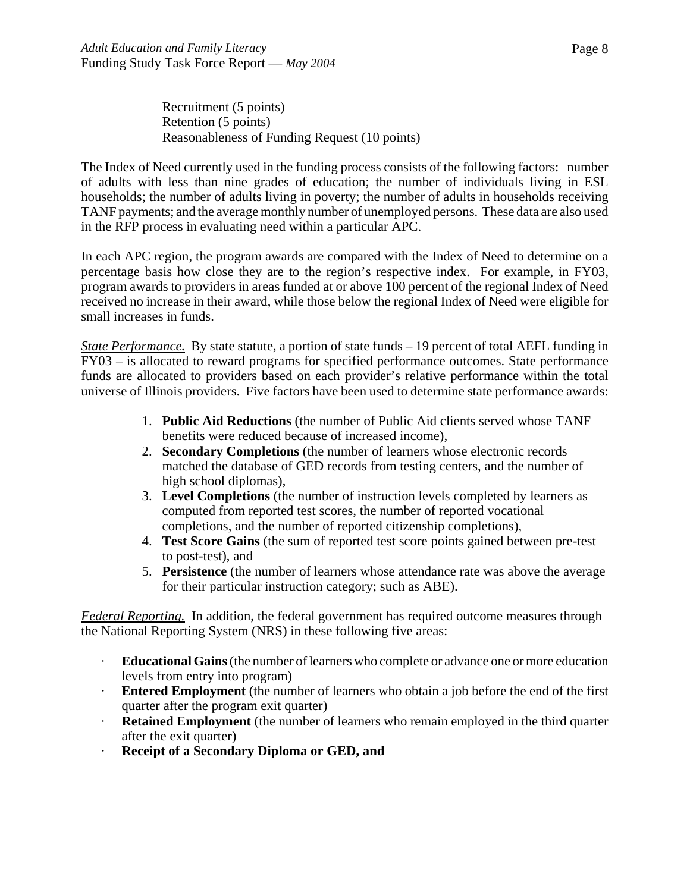Recruitment (5 points) Retention (5 points) Reasonableness of Funding Request (10 points)

The Index of Need currently used in the funding process consists of the following factors: number of adults with less than nine grades of education; the number of individuals living in ESL households; the number of adults living in poverty; the number of adults in households receiving TANF payments; and the average monthly number of unemployed persons. These data are also used in the RFP process in evaluating need within a particular APC.

In each APC region, the program awards are compared with the Index of Need to determine on a percentage basis how close they are to the region's respective index. For example, in FY03, program awards to providers in areas funded at or above 100 percent of the regional Index of Need received no increase in their award, while those below the regional Index of Need were eligible for small increases in funds.

*State Performance.* By state statute, a portion of state funds – 19 percent of total AEFL funding in FY03 – is allocated to reward programs for specified performance outcomes. State performance funds are allocated to providers based on each provider's relative performance within the total universe of Illinois providers. Five factors have been used to determine state performance awards:

- 1. **Public Aid Reductions** (the number of Public Aid clients served whose TANF benefits were reduced because of increased income),
- 2. **Secondary Completions** (the number of learners whose electronic records matched the database of GED records from testing centers, and the number of high school diplomas),
- 3. **Level Completions** (the number of instruction levels completed by learners as computed from reported test scores, the number of reported vocational completions, and the number of reported citizenship completions),
- 4. **Test Score Gains** (the sum of reported test score points gained between pre-test to post-test), and
- 5. **Persistence** (the number of learners whose attendance rate was above the average for their particular instruction category; such as ABE).

*Federal Reporting.* In addition, the federal government has required outcome measures through the National Reporting System (NRS) in these following five areas:

- · **Educational Gains** (the number of learners who complete or advance one or more education levels from entry into program)
- · **Entered Employment** (the number of learners who obtain a job before the end of the first quarter after the program exit quarter)
- · **Retained Employment** (the number of learners who remain employed in the third quarter after the exit quarter)
- · **Receipt of a Secondary Diploma or GED, and**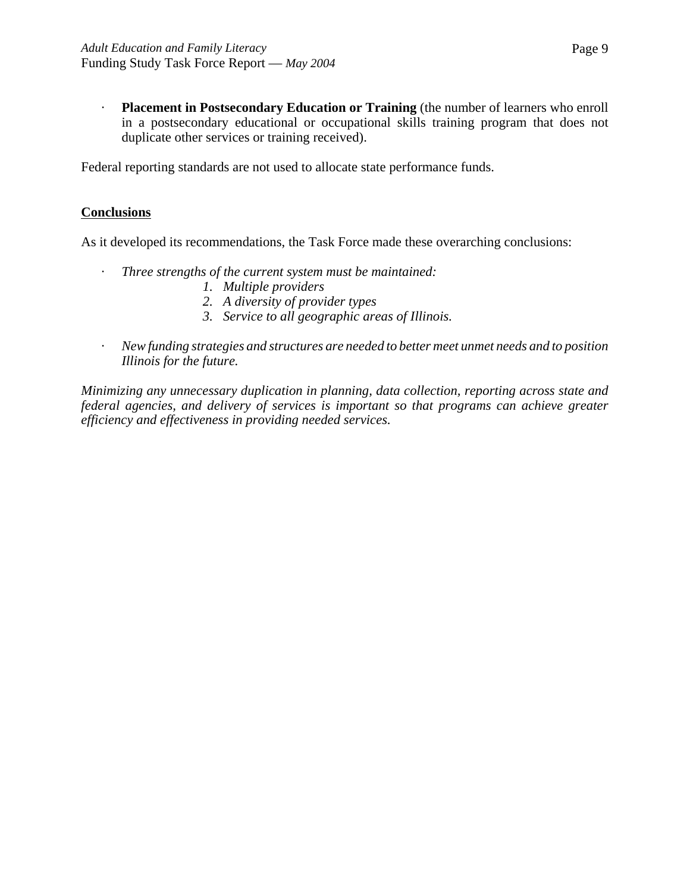· **Placement in Postsecondary Education or Training** (the number of learners who enroll in a postsecondary educational or occupational skills training program that does not duplicate other services or training received).

Federal reporting standards are not used to allocate state performance funds.

#### **Conclusions**

As it developed its recommendations, the Task Force made these overarching conclusions:

- · *Three strengths of the current system must be maintained:* 
	- *1. Multiple providers*
	- *2. A diversity of provider types*
	- *3. Service to all geographic areas of Illinois.*
- · *New funding strategies and structures are needed to better meet unmet needs and to position Illinois for the future.*

*Minimizing any unnecessary duplication in planning, data collection, reporting across state and federal agencies, and delivery of services is important so that programs can achieve greater efficiency and effectiveness in providing needed services.*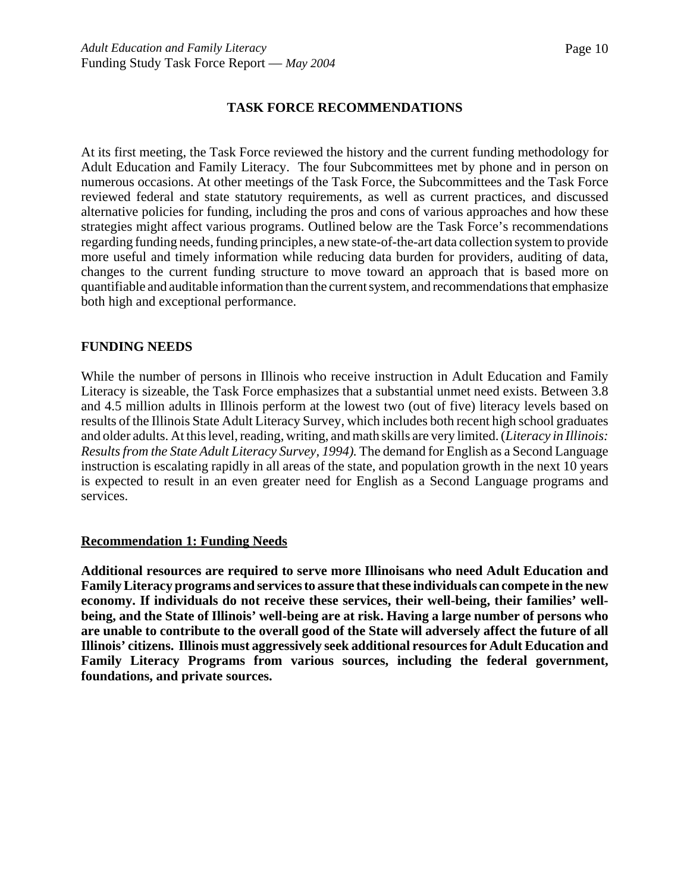#### **TASK FORCE RECOMMENDATIONS**

At its first meeting, the Task Force reviewed the history and the current funding methodology for Adult Education and Family Literacy. The four Subcommittees met by phone and in person on numerous occasions. At other meetings of the Task Force, the Subcommittees and the Task Force reviewed federal and state statutory requirements, as well as current practices, and discussed alternative policies for funding, including the pros and cons of various approaches and how these strategies might affect various programs. Outlined below are the Task Force's recommendations regarding funding needs, funding principles, a new state-of-the-art data collection system to provide more useful and timely information while reducing data burden for providers, auditing of data, changes to the current funding structure to move toward an approach that is based more on quantifiable and auditable information than the current system, and recommendations that emphasize both high and exceptional performance.

#### **FUNDING NEEDS**

While the number of persons in Illinois who receive instruction in Adult Education and Family Literacy is sizeable, the Task Force emphasizes that a substantial unmet need exists. Between 3.8 and 4.5 million adults in Illinois perform at the lowest two (out of five) literacy levels based on results of the Illinois State Adult Literacy Survey, which includes both recent high school graduates and older adults. At this level, reading, writing, and math skills are very limited. (*Literacy in Illinois: Results from the State Adult Literacy Survey, 1994).* The demand for English as a Second Language instruction is escalating rapidly in all areas of the state, and population growth in the next 10 years is expected to result in an even greater need for English as a Second Language programs and services.

#### **Recommendation 1: Funding Needs**

**Additional resources are required to serve more Illinoisans who need Adult Education and Family Literacy programs and services to assure that these individuals can compete in the new economy. If individuals do not receive these services, their well-being, their families' wellbeing, and the State of Illinois' well-being are at risk. Having a large number of persons who are unable to contribute to the overall good of the State will adversely affect the future of all Illinois' citizens. Illinois must aggressively seek additional resources for Adult Education and Family Literacy Programs from various sources, including the federal government, foundations, and private sources.**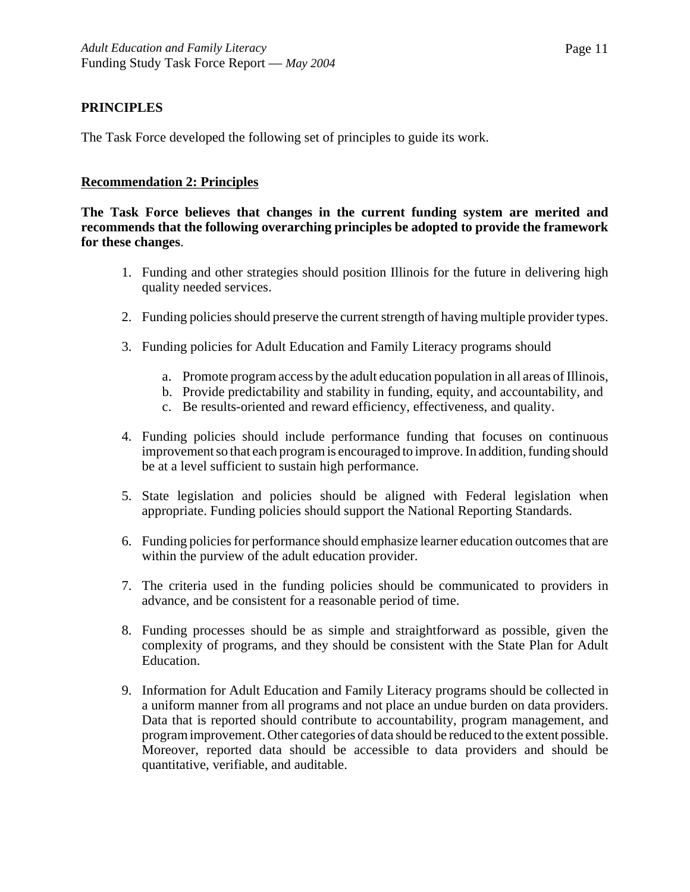# **PRINCIPLES**

The Task Force developed the following set of principles to guide its work.

#### **Recommendation 2: Principles**

**The Task Force believes that changes in the current funding system are merited and recommends that the following overarching principles be adopted to provide the framework for these changes**.

- 1. Funding and other strategies should position Illinois for the future in delivering high quality needed services.
- 2. Funding policies should preserve the current strength of having multiple provider types.
- 3. Funding policies for Adult Education and Family Literacy programs should
	- a. Promote program access by the adult education population in all areas of Illinois,
	- b. Provide predictability and stability in funding, equity, and accountability, and
	- c. Be results-oriented and reward efficiency, effectiveness, and quality.
- 4. Funding policies should include performance funding that focuses on continuous improvement so that each program is encouraged to improve. In addition, funding should be at a level sufficient to sustain high performance.
- 5. State legislation and policies should be aligned with Federal legislation when appropriate. Funding policies should support the National Reporting Standards.
- 6. Funding policies for performance should emphasize learner education outcomes that are within the purview of the adult education provider.
- 7. The criteria used in the funding policies should be communicated to providers in advance, and be consistent for a reasonable period of time.
- 8. Funding processes should be as simple and straightforward as possible, given the complexity of programs, and they should be consistent with the State Plan for Adult Education.
- 9. Information for Adult Education and Family Literacy programs should be collected in a uniform manner from all programs and not place an undue burden on data providers. Data that is reported should contribute to accountability, program management, and program improvement. Other categories of data should be reduced to the extent possible. Moreover, reported data should be accessible to data providers and should be quantitative, verifiable, and auditable.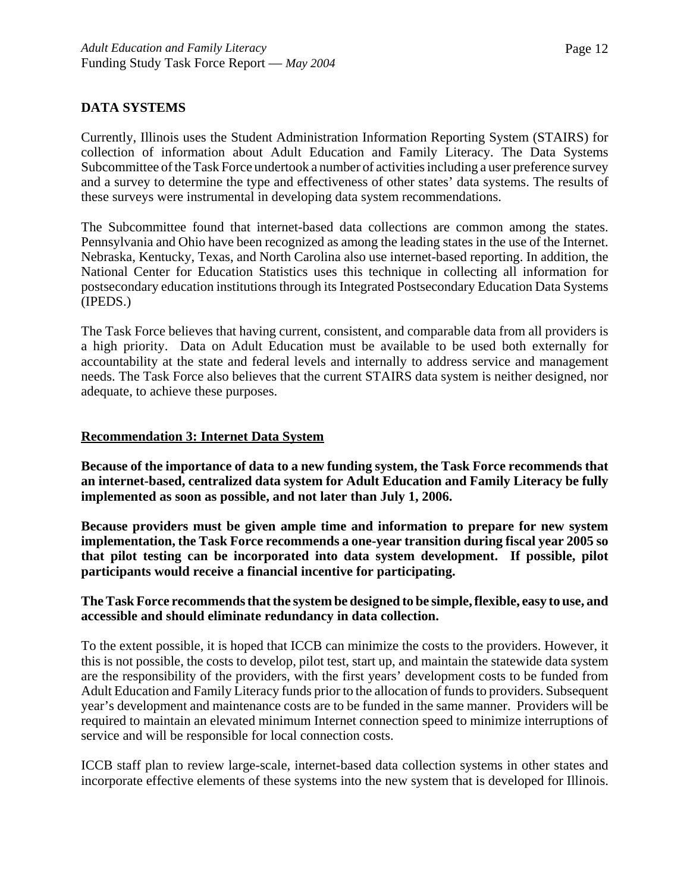# **DATA SYSTEMS**

Currently, Illinois uses the Student Administration Information Reporting System (STAIRS) for collection of information about Adult Education and Family Literacy. The Data Systems Subcommittee of the Task Force undertook a number of activities including a user preference survey and a survey to determine the type and effectiveness of other states' data systems. The results of these surveys were instrumental in developing data system recommendations.

The Subcommittee found that internet-based data collections are common among the states. Pennsylvania and Ohio have been recognized as among the leading states in the use of the Internet. Nebraska, Kentucky, Texas, and North Carolina also use internet-based reporting. In addition, the National Center for Education Statistics uses this technique in collecting all information for postsecondary education institutions through its Integrated Postsecondary Education Data Systems (IPEDS.)

The Task Force believes that having current, consistent, and comparable data from all providers is a high priority. Data on Adult Education must be available to be used both externally for accountability at the state and federal levels and internally to address service and management needs. The Task Force also believes that the current STAIRS data system is neither designed, nor adequate, to achieve these purposes.

#### **Recommendation 3: Internet Data System**

**Because of the importance of data to a new funding system, the Task Force recommends that an internet-based, centralized data system for Adult Education and Family Literacy be fully implemented as soon as possible, and not later than July 1, 2006.** 

**Because providers must be given ample time and information to prepare for new system implementation, the Task Force recommends a one-year transition during fiscal year 2005 so that pilot testing can be incorporated into data system development. If possible, pilot participants would receive a financial incentive for participating.** 

#### **The Task Force recommends that the system be designed to be simple, flexible, easy to use, and accessible and should eliminate redundancy in data collection.**

To the extent possible, it is hoped that ICCB can minimize the costs to the providers. However, it this is not possible, the costs to develop, pilot test, start up, and maintain the statewide data system are the responsibility of the providers, with the first years' development costs to be funded from Adult Education and Family Literacy funds prior to the allocation of funds to providers. Subsequent year's development and maintenance costs are to be funded in the same manner. Providers will be required to maintain an elevated minimum Internet connection speed to minimize interruptions of service and will be responsible for local connection costs.

ICCB staff plan to review large-scale, internet-based data collection systems in other states and incorporate effective elements of these systems into the new system that is developed for Illinois.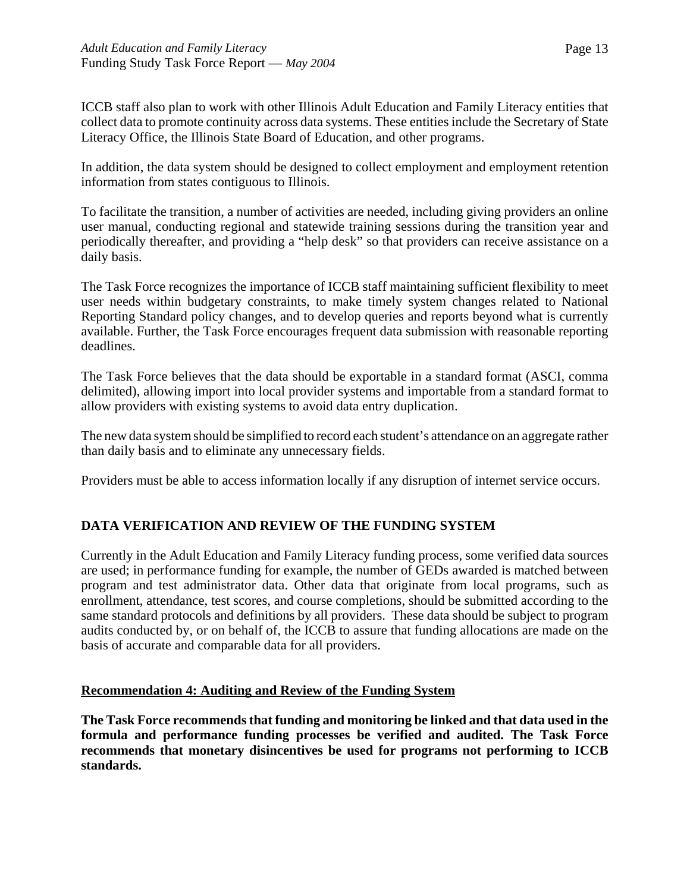ICCB staff also plan to work with other Illinois Adult Education and Family Literacy entities that collect data to promote continuity across data systems. These entities include the Secretary of State Literacy Office, the Illinois State Board of Education, and other programs.

In addition, the data system should be designed to collect employment and employment retention information from states contiguous to Illinois.

To facilitate the transition, a number of activities are needed, including giving providers an online user manual, conducting regional and statewide training sessions during the transition year and periodically thereafter, and providing a "help desk" so that providers can receive assistance on a daily basis.

The Task Force recognizes the importance of ICCB staff maintaining sufficient flexibility to meet user needs within budgetary constraints, to make timely system changes related to National Reporting Standard policy changes, and to develop queries and reports beyond what is currently available. Further, the Task Force encourages frequent data submission with reasonable reporting deadlines.

The Task Force believes that the data should be exportable in a standard format (ASCI, comma delimited), allowing import into local provider systems and importable from a standard format to allow providers with existing systems to avoid data entry duplication.

The new data system should be simplified to record each student's attendance on an aggregate rather than daily basis and to eliminate any unnecessary fields.

Providers must be able to access information locally if any disruption of internet service occurs.

# **DATA VERIFICATION AND REVIEW OF THE FUNDING SYSTEM**

Currently in the Adult Education and Family Literacy funding process, some verified data sources are used; in performance funding for example, the number of GEDs awarded is matched between program and test administrator data. Other data that originate from local programs, such as enrollment, attendance, test scores, and course completions, should be submitted according to the same standard protocols and definitions by all providers. These data should be subject to program audits conducted by, or on behalf of, the ICCB to assure that funding allocations are made on the basis of accurate and comparable data for all providers.

# **Recommendation 4: Auditing and Review of the Funding System**

**The Task Force recommends that funding and monitoring be linked and that data used in the formula and performance funding processes be verified and audited. The Task Force recommends that monetary disincentives be used for programs not performing to ICCB standards.**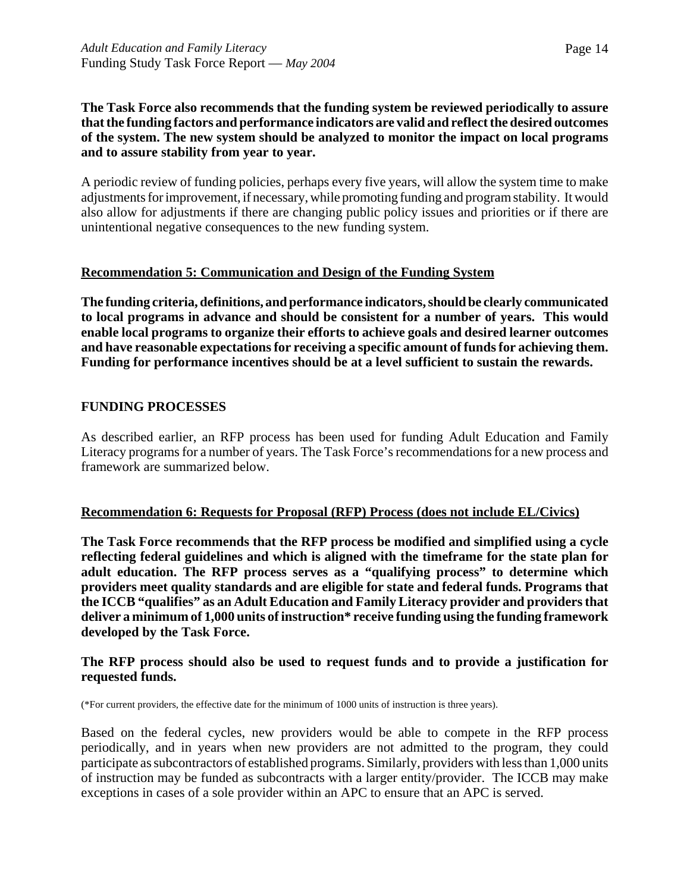#### **The Task Force also recommends that the funding system be reviewed periodically to assure that the funding factors and performance indicators are valid and reflect the desired outcomes of the system. The new system should be analyzed to monitor the impact on local programs and to assure stability from year to year.**

A periodic review of funding policies, perhaps every five years, will allow the system time to make adjustments for improvement, if necessary, while promoting funding and program stability. It would also allow for adjustments if there are changing public policy issues and priorities or if there are unintentional negative consequences to the new funding system.

# **Recommendation 5: Communication and Design of the Funding System**

**The funding criteria, definitions, and performance indicators, should be clearly communicated to local programs in advance and should be consistent for a number of years. This would enable local programs to organize their efforts to achieve goals and desired learner outcomes and have reasonable expectations for receiving a specific amount of funds for achieving them. Funding for performance incentives should be at a level sufficient to sustain the rewards.**

#### **FUNDING PROCESSES**

As described earlier, an RFP process has been used for funding Adult Education and Family Literacy programs for a number of years. The Task Force's recommendations for a new process and framework are summarized below.

#### **Recommendation 6: Requests for Proposal (RFP) Process (does not include EL/Civics)**

**The Task Force recommends that the RFP process be modified and simplified using a cycle reflecting federal guidelines and which is aligned with the timeframe for the state plan for adult education. The RFP process serves as a "qualifying process" to determine which providers meet quality standards and are eligible for state and federal funds. Programs that the ICCB "qualifies" as an Adult Education and Family Literacy provider and providers that deliver a minimum of 1,000 units of instruction\* receive funding using the funding framework developed by the Task Force.** 

#### **The RFP process should also be used to request funds and to provide a justification for requested funds.**

(\*For current providers, the effective date for the minimum of 1000 units of instruction is three years).

Based on the federal cycles, new providers would be able to compete in the RFP process periodically, and in years when new providers are not admitted to the program, they could participate as subcontractors of established programs. Similarly, providers with less than 1,000 units of instruction may be funded as subcontracts with a larger entity/provider. The ICCB may make exceptions in cases of a sole provider within an APC to ensure that an APC is served.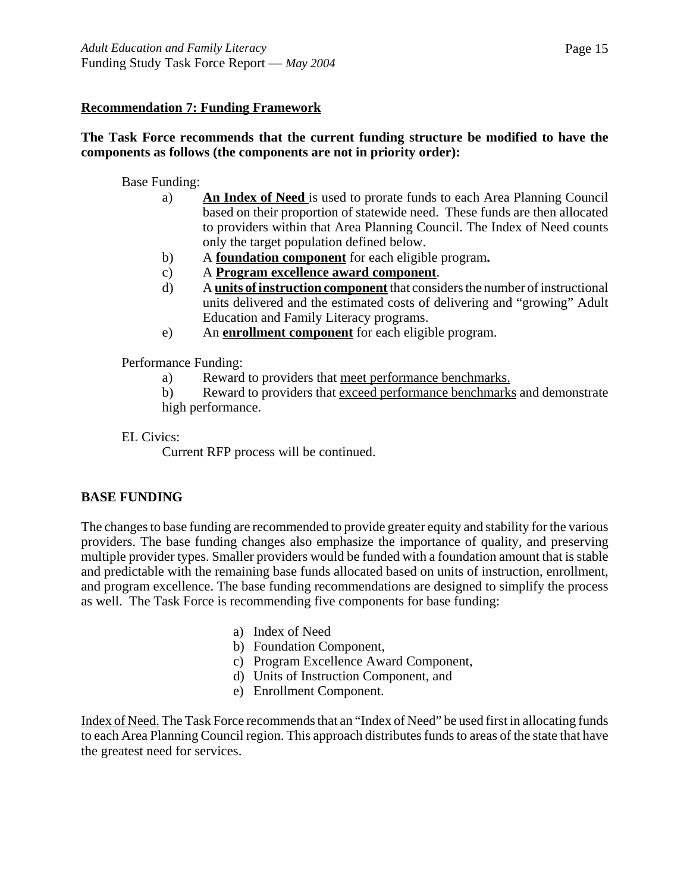# **Recommendation 7: Funding Framework**

# **The Task Force recommends that the current funding structure be modified to have the components as follows (the components are not in priority order):**

# Base Funding:

- a) **An Index of Need** is used to prorate funds to each Area Planning Council based on their proportion of statewide need. These funds are then allocated to providers within that Area Planning Council. The Index of Need counts only the target population defined below.
- b) A **foundation component** for each eligible program**.**
- c) A **Program excellence award component**.
- d) A **units of instruction component** that considers the number of instructional units delivered and the estimated costs of delivering and "growing" Adult Education and Family Literacy programs.
- e) An **enrollment component** for each eligible program.

Performance Funding:

- a) Reward to providers that meet performance benchmarks.
- b) Reward to providers that exceed performance benchmarks and demonstrate high performance.

EL Civics:

Current RFP process will be continued.

# **BASE FUNDING**

The changes to base funding are recommended to provide greater equity and stability for the various providers. The base funding changes also emphasize the importance of quality, and preserving multiple provider types. Smaller providers would be funded with a foundation amount that is stable and predictable with the remaining base funds allocated based on units of instruction, enrollment, and program excellence. The base funding recommendations are designed to simplify the process as well. The Task Force is recommending five components for base funding:

- a) Index of Need
- b) Foundation Component,
- c) Program Excellence Award Component,
- d) Units of Instruction Component, and
- e) Enrollment Component.

Index of Need. The Task Force recommends that an "Index of Need" be used first in allocating funds to each Area Planning Council region. This approach distributes funds to areas of the state that have the greatest need for services.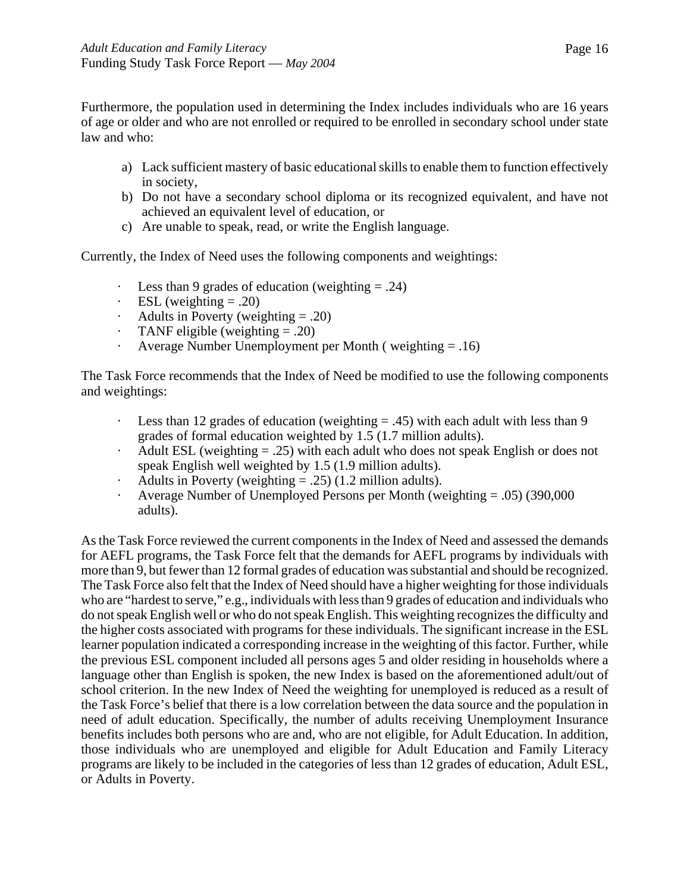Furthermore, the population used in determining the Index includes individuals who are 16 years of age or older and who are not enrolled or required to be enrolled in secondary school under state law and who:

- a) Lack sufficient mastery of basic educational skills to enable them to function effectively in society,
- b) Do not have a secondary school diploma or its recognized equivalent, and have not achieved an equivalent level of education, or
- c) Are unable to speak, read, or write the English language.

Currently, the Index of Need uses the following components and weightings:

- Less than 9 grades of education (weighting  $= .24$ )
- ESL (weighting  $= .20$ )
- Adults in Poverty (weighting  $= .20$ )
- TANF eligible (weighting  $= .20$ )
- · Average Number Unemployment per Month ( weighting = .16)

The Task Force recommends that the Index of Need be modified to use the following components and weightings:

- Less than 12 grades of education (weighting  $= .45$ ) with each adult with less than 9 grades of formal education weighted by 1.5 (1.7 million adults).
- Adult ESL (weighting  $= .25$ ) with each adult who does not speak English or does not speak English well weighted by 1.5 (1.9 million adults).
- Adults in Poverty (weighting  $= .25$ ) (1.2 million adults).
- · Average Number of Unemployed Persons per Month (weighting = .05) (390,000 adults).

As the Task Force reviewed the current components in the Index of Need and assessed the demands for AEFL programs, the Task Force felt that the demands for AEFL programs by individuals with more than 9, but fewer than 12 formal grades of education was substantial and should be recognized. The Task Force also felt that the Index of Need should have a higher weighting for those individuals who are "hardest to serve," e.g., individuals with less than 9 grades of education and individuals who do not speak English well or who do not speak English. This weighting recognizes the difficulty and the higher costs associated with programs for these individuals. The significant increase in the ESL learner population indicated a corresponding increase in the weighting of this factor. Further, while the previous ESL component included all persons ages 5 and older residing in households where a language other than English is spoken, the new Index is based on the aforementioned adult/out of school criterion. In the new Index of Need the weighting for unemployed is reduced as a result of the Task Force's belief that there is a low correlation between the data source and the population in need of adult education. Specifically, the number of adults receiving Unemployment Insurance benefits includes both persons who are and, who are not eligible, for Adult Education. In addition, those individuals who are unemployed and eligible for Adult Education and Family Literacy programs are likely to be included in the categories of less than 12 grades of education, Adult ESL, or Adults in Poverty.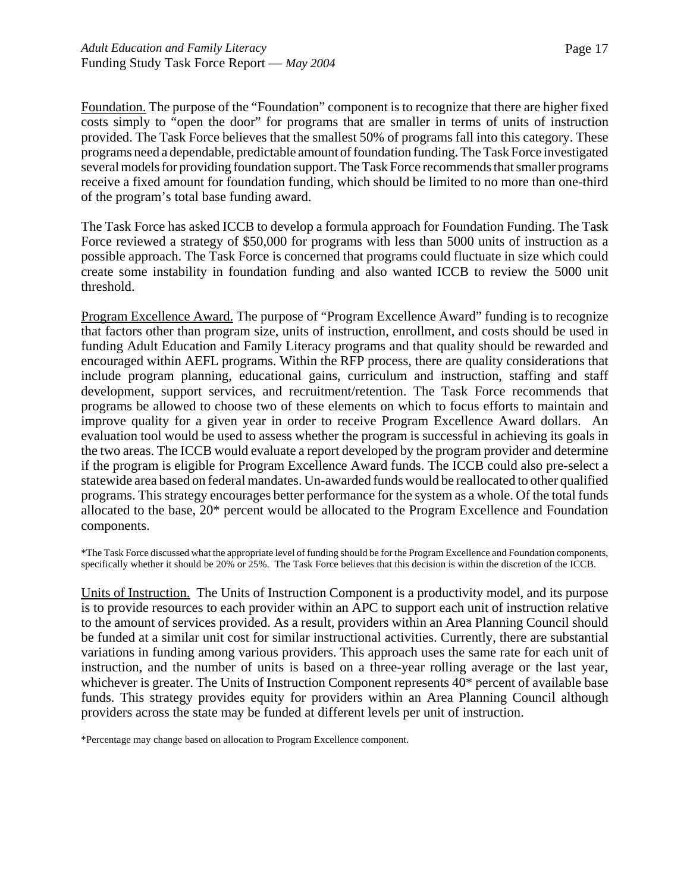Foundation. The purpose of the "Foundation" component is to recognize that there are higher fixed costs simply to "open the door" for programs that are smaller in terms of units of instruction provided. The Task Force believes that the smallest 50% of programs fall into this category. These programs need a dependable, predictable amount of foundation funding. The Task Force investigated several models for providing foundation support. The Task Force recommends that smaller programs receive a fixed amount for foundation funding, which should be limited to no more than one-third of the program's total base funding award.

The Task Force has asked ICCB to develop a formula approach for Foundation Funding. The Task Force reviewed a strategy of \$50,000 for programs with less than 5000 units of instruction as a possible approach. The Task Force is concerned that programs could fluctuate in size which could create some instability in foundation funding and also wanted ICCB to review the 5000 unit threshold.

Program Excellence Award. The purpose of "Program Excellence Award" funding is to recognize that factors other than program size, units of instruction, enrollment, and costs should be used in funding Adult Education and Family Literacy programs and that quality should be rewarded and encouraged within AEFL programs. Within the RFP process, there are quality considerations that include program planning, educational gains, curriculum and instruction, staffing and staff development, support services, and recruitment/retention. The Task Force recommends that programs be allowed to choose two of these elements on which to focus efforts to maintain and improve quality for a given year in order to receive Program Excellence Award dollars. An evaluation tool would be used to assess whether the program is successful in achieving its goals in the two areas. The ICCB would evaluate a report developed by the program provider and determine if the program is eligible for Program Excellence Award funds. The ICCB could also pre-select a statewide area based on federal mandates. Un-awarded funds would be reallocated to other qualified programs. This strategy encourages better performance for the system as a whole. Of the total funds allocated to the base, 20\* percent would be allocated to the Program Excellence and Foundation components.

\*The Task Force discussed what the appropriate level of funding should be for the Program Excellence and Foundation components, specifically whether it should be 20% or  $25\%$ . The Task Force believes that this decision is within the discretion of the ICCB.

Units of Instruction. The Units of Instruction Component is a productivity model, and its purpose is to provide resources to each provider within an APC to support each unit of instruction relative to the amount of services provided. As a result, providers within an Area Planning Council should be funded at a similar unit cost for similar instructional activities. Currently, there are substantial variations in funding among various providers. This approach uses the same rate for each unit of instruction, and the number of units is based on a three-year rolling average or the last year, whichever is greater. The Units of Instruction Component represents 40\* percent of available base funds. This strategy provides equity for providers within an Area Planning Council although providers across the state may be funded at different levels per unit of instruction.

\*Percentage may change based on allocation to Program Excellence component.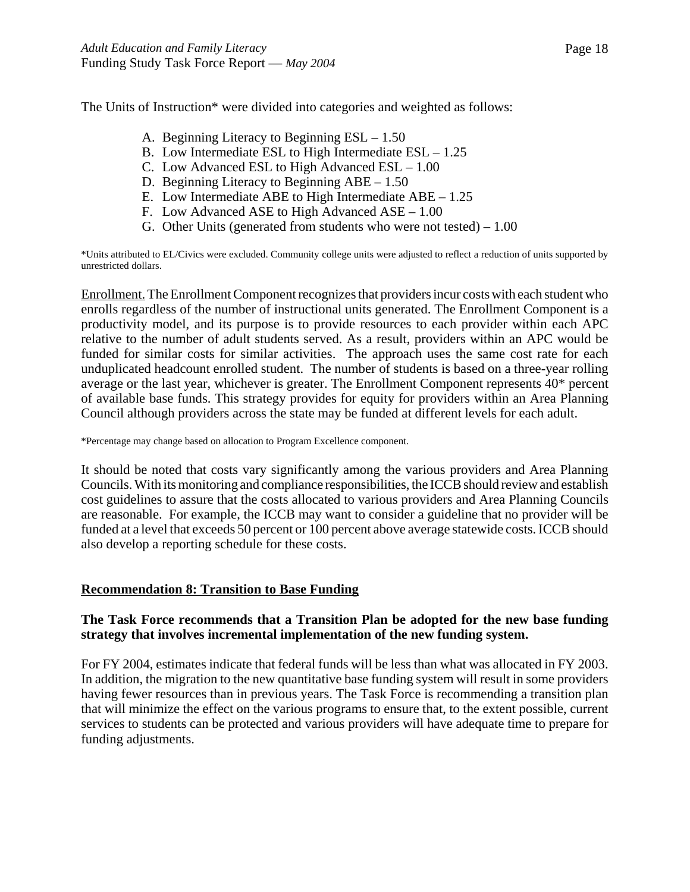The Units of Instruction\* were divided into categories and weighted as follows:

- A. Beginning Literacy to Beginning ESL 1.50
- B. Low Intermediate ESL to High Intermediate ESL 1.25
- C. Low Advanced ESL to High Advanced ESL 1.00
- D. Beginning Literacy to Beginning ABE 1.50
- E. Low Intermediate ABE to High Intermediate ABE 1.25
- F. Low Advanced ASE to High Advanced ASE 1.00
- G. Other Units (generated from students who were not tested) 1.00

\*Units attributed to EL/Civics were excluded. Community college units were adjusted to reflect a reduction of units supported by unrestricted dollars.

Enrollment. The Enrollment Component recognizes that providers incur costs with each student who enrolls regardless of the number of instructional units generated. The Enrollment Component is a productivity model, and its purpose is to provide resources to each provider within each APC relative to the number of adult students served. As a result, providers within an APC would be funded for similar costs for similar activities. The approach uses the same cost rate for each unduplicated headcount enrolled student. The number of students is based on a three-year rolling average or the last year, whichever is greater. The Enrollment Component represents 40\* percent of available base funds. This strategy provides for equity for providers within an Area Planning Council although providers across the state may be funded at different levels for each adult.

\*Percentage may change based on allocation to Program Excellence component.

It should be noted that costs vary significantly among the various providers and Area Planning Councils. With its monitoring and compliance responsibilities, the ICCB should review and establish cost guidelines to assure that the costs allocated to various providers and Area Planning Councils are reasonable. For example, the ICCB may want to consider a guideline that no provider will be funded at a level that exceeds 50 percent or 100 percent above average statewide costs. ICCB should also develop a reporting schedule for these costs.

#### **Recommendation 8: Transition to Base Funding**

#### **The Task Force recommends that a Transition Plan be adopted for the new base funding strategy that involves incremental implementation of the new funding system.**

For FY 2004, estimates indicate that federal funds will be less than what was allocated in FY 2003. In addition, the migration to the new quantitative base funding system will result in some providers having fewer resources than in previous years. The Task Force is recommending a transition plan that will minimize the effect on the various programs to ensure that, to the extent possible, current services to students can be protected and various providers will have adequate time to prepare for funding adjustments.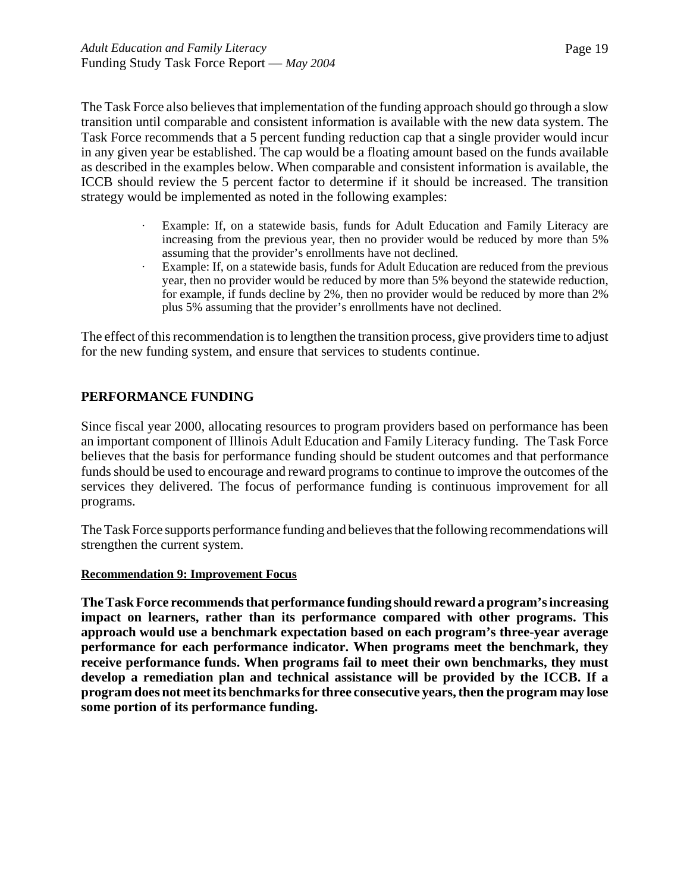The Task Force also believes that implementation of the funding approach should go through a slow transition until comparable and consistent information is available with the new data system. The Task Force recommends that a 5 percent funding reduction cap that a single provider would incur in any given year be established. The cap would be a floating amount based on the funds available as described in the examples below. When comparable and consistent information is available, the ICCB should review the 5 percent factor to determine if it should be increased. The transition strategy would be implemented as noted in the following examples:

- · Example: If, on a statewide basis, funds for Adult Education and Family Literacy are increasing from the previous year, then no provider would be reduced by more than 5% assuming that the provider's enrollments have not declined.
- · Example: If, on a statewide basis, funds for Adult Education are reduced from the previous year, then no provider would be reduced by more than 5% beyond the statewide reduction, for example, if funds decline by 2%, then no provider would be reduced by more than 2% plus 5% assuming that the provider's enrollments have not declined.

The effect of this recommendation is to lengthen the transition process, give providers time to adjust for the new funding system, and ensure that services to students continue.

# **PERFORMANCE FUNDING**

Since fiscal year 2000, allocating resources to program providers based on performance has been an important component of Illinois Adult Education and Family Literacy funding. The Task Force believes that the basis for performance funding should be student outcomes and that performance funds should be used to encourage and reward programs to continue to improve the outcomes of the services they delivered. The focus of performance funding is continuous improvement for all programs.

The Task Force supports performance funding and believes that the following recommendations will strengthen the current system.

#### **Recommendation 9: Improvement Focus**

**The Task Force recommends that performance funding should reward a program's increasing impact on learners, rather than its performance compared with other programs. This approach would use a benchmark expectation based on each program's three-year average performance for each performance indicator. When programs meet the benchmark, they receive performance funds. When programs fail to meet their own benchmarks, they must develop a remediation plan and technical assistance will be provided by the ICCB. If a program does not meet its benchmarks for three consecutive years, then the program may lose some portion of its performance funding.**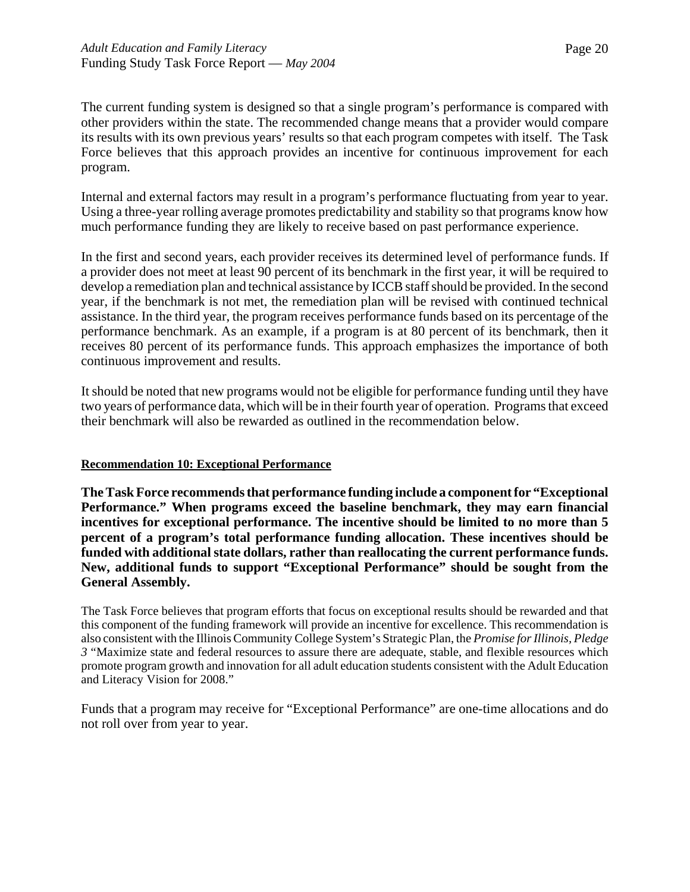The current funding system is designed so that a single program's performance is compared with other providers within the state. The recommended change means that a provider would compare its results with its own previous years' results so that each program competes with itself. The Task Force believes that this approach provides an incentive for continuous improvement for each program.

Internal and external factors may result in a program's performance fluctuating from year to year. Using a three-year rolling average promotes predictability and stability so that programs know how much performance funding they are likely to receive based on past performance experience.

In the first and second years, each provider receives its determined level of performance funds. If a provider does not meet at least 90 percent of its benchmark in the first year, it will be required to develop a remediation plan and technical assistance by ICCB staff should be provided. In the second year, if the benchmark is not met, the remediation plan will be revised with continued technical assistance. In the third year, the program receives performance funds based on its percentage of the performance benchmark. As an example, if a program is at 80 percent of its benchmark, then it receives 80 percent of its performance funds. This approach emphasizes the importance of both continuous improvement and results.

It should be noted that new programs would not be eligible for performance funding until they have two years of performance data, which will be in their fourth year of operation. Programs that exceed their benchmark will also be rewarded as outlined in the recommendation below.

#### **Recommendation 10: Exceptional Performance**

**The Task Force recommends that performance funding include a component for "Exceptional Performance." When programs exceed the baseline benchmark, they may earn financial incentives for exceptional performance. The incentive should be limited to no more than 5 percent of a program's total performance funding allocation. These incentives should be funded with additional state dollars, rather than reallocating the current performance funds. New, additional funds to support "Exceptional Performance" should be sought from the General Assembly.**

The Task Force believes that program efforts that focus on exceptional results should be rewarded and that this component of the funding framework will provide an incentive for excellence. This recommendation is also consistent with the Illinois Community College System's Strategic Plan, the *Promise for Illinois, Pledge 3* "Maximize state and federal resources to assure there are adequate, stable, and flexible resources which promote program growth and innovation for all adult education students consistent with the Adult Education and Literacy Vision for 2008."

Funds that a program may receive for "Exceptional Performance" are one-time allocations and do not roll over from year to year.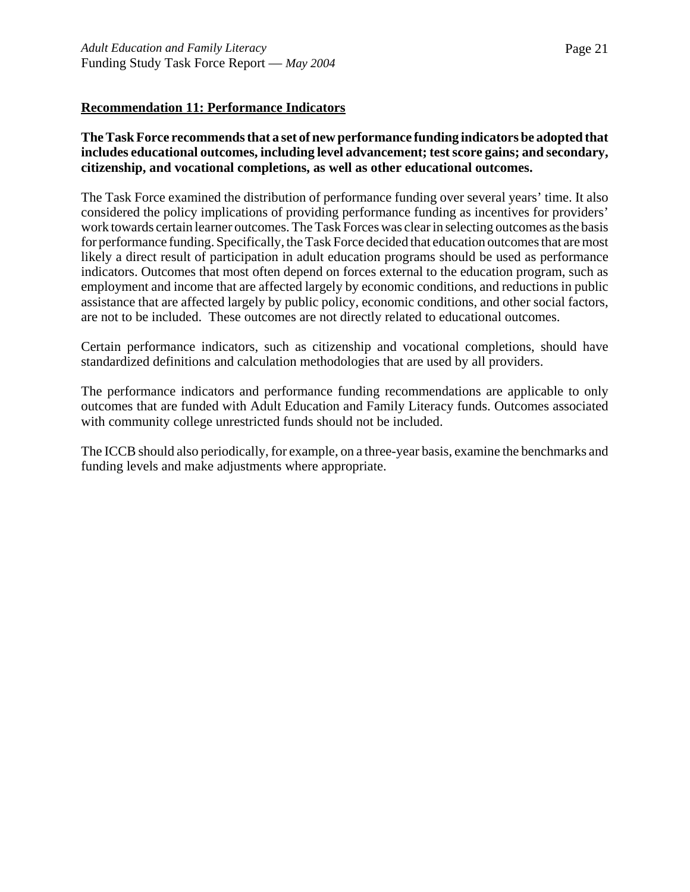# **Recommendation 11: Performance Indicators**

# **The Task Force recommends that a set of new performance funding indicators be adopted that includes educational outcomes, including level advancement; test score gains; and secondary, citizenship, and vocational completions, as well as other educational outcomes.**

The Task Force examined the distribution of performance funding over several years' time. It also considered the policy implications of providing performance funding as incentives for providers' work towards certain learner outcomes. The Task Forces was clear in selecting outcomes as the basis for performance funding. Specifically, the Task Force decided that education outcomes that are most likely a direct result of participation in adult education programs should be used as performance indicators. Outcomes that most often depend on forces external to the education program, such as employment and income that are affected largely by economic conditions, and reductions in public assistance that are affected largely by public policy, economic conditions, and other social factors, are not to be included. These outcomes are not directly related to educational outcomes.

Certain performance indicators, such as citizenship and vocational completions, should have standardized definitions and calculation methodologies that are used by all providers.

The performance indicators and performance funding recommendations are applicable to only outcomes that are funded with Adult Education and Family Literacy funds. Outcomes associated with community college unrestricted funds should not be included.

The ICCB should also periodically, for example, on a three-year basis, examine the benchmarks and funding levels and make adjustments where appropriate.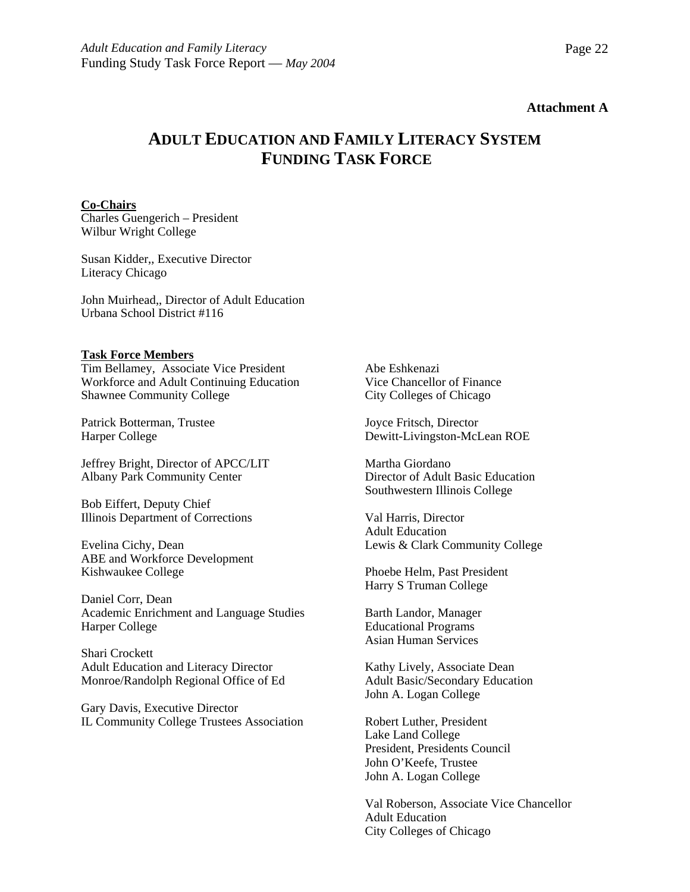#### **Attachment A**

# **ADULT EDUCATION AND FAMILY LITERACY SYSTEM FUNDING TASK FORCE**

#### **Co-Chairs**

Charles Guengerich – President Wilbur Wright College

Susan Kidder,, Executive Director Literacy Chicago

John Muirhead,, Director of Adult Education Urbana School District #116

#### **Task Force Members**

Tim Bellamey, Associate Vice President Workforce and Adult Continuing Education Shawnee Community College

Patrick Botterman, Trustee Harper College

Jeffrey Bright, Director of APCC/LIT Albany Park Community Center

Bob Eiffert, Deputy Chief Illinois Department of Corrections

Evelina Cichy, Dean ABE and Workforce Development Kishwaukee College

Daniel Corr, Dean Academic Enrichment and Language Studies Harper College

Shari Crockett Adult Education and Literacy Director Monroe/Randolph Regional Office of Ed

Gary Davis, Executive Director IL Community College Trustees Association Abe Eshkenazi Vice Chancellor of Finance City Colleges of Chicago

Joyce Fritsch, Director Dewitt-Livingston-McLean ROE

Martha Giordano Director of Adult Basic Education Southwestern Illinois College

Val Harris, Director Adult Education Lewis & Clark Community College

Phoebe Helm, Past President Harry S Truman College

Barth Landor, Manager Educational Programs Asian Human Services

Kathy Lively, Associate Dean Adult Basic/Secondary Education John A. Logan College

Robert Luther, President Lake Land College President, Presidents Council John O'Keefe, Trustee John A. Logan College

Val Roberson, Associate Vice Chancellor Adult Education City Colleges of Chicago